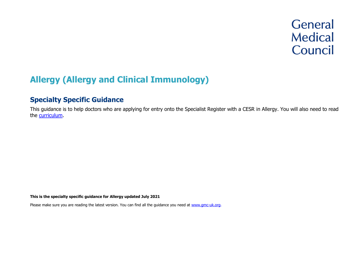# **General Medical** Council

# **Allergy (Allergy and Clinical Immunology)**

# **Specialty Specific Guidance**

This guidance is to help doctors who are applying for entry onto the Specialist Register with a CESR in Allergy. You will also need to read the [curriculum.](https://www.gmc-uk.org/education/standards-guidance-and-curricula/curricula%23T)

**This is the specialty specific guidance for Allergy updated July 2021**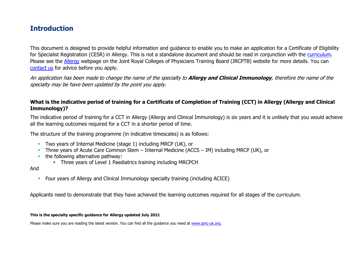# **Introduction**

This document is designed to provide helpful information and guidance to enable you to make an application for a Certificate of Eligibility for Specialist Registration (CESR) in Allergy. This is not a standalone document and should be read in conjunction with the [curriculum.](https://www.gmc-uk.org/education/standards-guidance-and-curricula/curricula#T) Please see the [Allergy](https://www.jrcptb.org.uk/specialties/allergy) webpage on the Joint Royal Colleges of Physicians Training Board (JRCPTB) website for more details. You can [contact us](http://www.gmc-uk.org/about/contacts.asp) for advice before you apply.

An application has been made to change the name of the specialty to **Allergy and Clinical Immunology**, therefore the name of the specialty may be have been updated by the point you apply.

### **What is the indicative period of training for a Certificate of Completion of Training (CCT) in Allergy (Allergy and Clinical Immunology)?**

The indicative period of training for a CCT in Allergy (Allergy and Clinical Immunology) is six years and it is unlikely that you would achieve all the learning outcomes required for a CCT in a shorter period of time.

The structure of the training programme (in indicative timescales) is as follows:

- **Two years of Internal Medicine (stage 1) including MRCP (UK), or**
- **·** Three years of Acute Care Common Stem Internal Medicine (ACCS IM) including MRCP (UK), or
- the following alternative pathway:
	- **EXECT** Three years of Level 1 Paediatrics training including MRCPCH

### And

▪ Four years of Allergy and Clinical Immunology specialty training (including ACICE)

Applicants need to demonstrate that they have achieved the learning outcomes required for all stages of the curriculum.

#### **This is the specialty specific guidance for Allergy updated July 2021**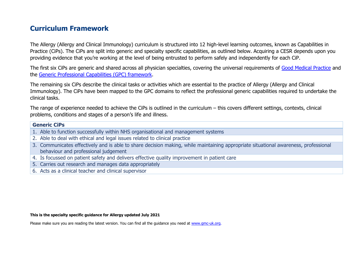# **Curriculum Framework**

The Allergy (Allergy and Clinical Immunology) curriculum is structured into 12 high-level learning outcomes, known as Capabilities in Practice (CiPs). The CiPs are split into generic and specialty specific capabilities, as outlined below. Acquiring a CESR depends upon you providing evidence that you're working at the level of being entrusted to perform safely and independently for each CiP.

The first six CiPs are generic and shared across all physician specialties, covering the universal requirements of [Good Medical Practice](https://www.gmc-uk.org/-/media/documents/good-medical-practice---english-20200128_pdf-51527435.pdf?la=en&hash=DA1263358CCA88F298785FE2BD7610EB4EE9A530) and the [Generic Professional Capabilities \(GPC\) framework.](https://www.gmc-uk.org/-/media/documents/generic-professional-capabilities-framework--0817_pdf-70417127.pdf)

The remaining six CiPs describe the clinical tasks or activities which are essential to the practice of Allergy (Allergy and Clinical Immunology). The CiPs have been mapped to the GPC domains to reflect the professional generic capabilities required to undertake the clinical tasks.

The range of experience needed to achieve the CiPs is outlined in the curriculum – this covers different settings, contexts, clinical problems, conditions and stages of a person's life and illness.

| <b>Generic CiPs</b> |                                                                                                                                                                             |  |
|---------------------|-----------------------------------------------------------------------------------------------------------------------------------------------------------------------------|--|
|                     | 1. Able to function successfully within NHS organisational and management systems                                                                                           |  |
|                     | 2. Able to deal with ethical and legal issues related to clinical practice                                                                                                  |  |
|                     | 3. Communicates effectively and is able to share decision making, while maintaining appropriate situational awareness, professional<br>behaviour and professional judgement |  |
|                     | 4. Is focussed on patient safety and delivers effective quality improvement in patient care                                                                                 |  |

- 5. Carries out research and manages data appropriately
- 6. Acts as a clinical teacher and clinical supervisor

#### **This is the specialty specific guidance for Allergy updated July 2021**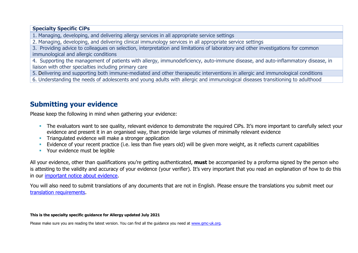### **Specialty Specific CiPs**

1. Managing, developing, and delivering allergy services in all appropriate service settings

2. Managing, developing, and delivering clinical immunology services in all appropriate service settings

3. Providing advice to colleagues on selection, interpretation and limitations of laboratory and other investigations for common immunological and allergic conditions

4. Supporting the management of patients with allergy, immunodeficiency, auto-immune disease, and auto-inflammatory disease, in liaison with other specialties including primary care

5. Delivering and supporting both immune-mediated and other therapeutic interventions in allergic and immunological conditions

6. Understanding the needs of adolescents and young adults with allergic and immunological diseases transitioning to adulthood

# **Submitting your evidence**

Please keep the following in mind when gathering your evidence:

- **The evaluators want to see quality, relevant evidence to demonstrate the required CiPs. It's more important to carefully select your** evidence and present it in an organised way, than provide large volumes of minimally relevant evidence
- **•** Triangulated evidence will make a stronger application
- Evidence of your recent practice (i.e. less than five years old) will be given more weight, as it reflects current capabilities
- **Your evidence must be legible**

All your evidence, other than qualifications you're getting authenticated, **must** be accompanied by a proforma signed by the person who is attesting to the validity and accuracy of your evidence (your verifier). It's very important that you read an explanation of how to do this in our [important notice about evidence.](http://www.gmc-uk.org/doctors/evidence_notice.asp)

You will also need to submit translations of any documents that are not in English. Please ensure the translations you submit meet our [translation requirements.](http://www.gmc-uk.org/doctors/translations.asp)

#### **This is the specialty specific guidance for Allergy updated July 2021**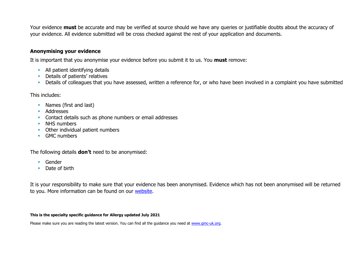Your evidence **must** be accurate and may be verified at source should we have any queries or justifiable doubts about the accuracy of your evidence. All evidence submitted will be cross checked against the rest of your application and documents.

### **Anonymising your evidence**

It is important that you anonymise your evidence before you submit it to us. You **must** remove:

- **E** All patient identifying details
- **•** Details of patients' relatives
- **•** Details of colleagues that you have assessed, written a reference for, or who have been involved in a complaint you have submitted

This includes:

- Names (first and last)
- Addresses
- **Contact details such as phone numbers or email addresses**
- NHS numbers
- Other individual patient numbers
- GMC numbers

The following details **don't** need to be anonymised:

- Gender
- Date of birth

It is your responsibility to make sure that your evidence has been anonymised. Evidence which has not been anonymised will be returned to you. More information can be found on our [website.](https://www.gmc-uk.org/registration-and-licensing/join-the-register/registration-applications/cesr-cegpr-application-process/anonymisation)

#### **This is the specialty specific guidance for Allergy updated July 2021**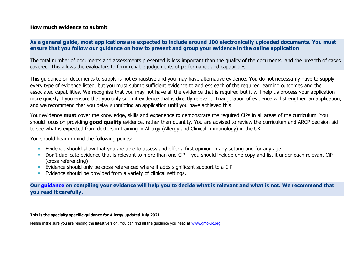### **How much evidence to submit**

### **As a general guide, most applications are expected to include around 100 electronically uploaded documents. You must ensure that you follow our guidance on how to present and group your evidence in the online application.**

The total number of documents and assessments presented is less important than the quality of the documents, and the breadth of cases covered. This allows the evaluators to form reliable judgements of performance and capabilities.

This guidance on documents to supply is not exhaustive and you may have alternative evidence. You do not necessarily have to supply every type of evidence listed, but you must submit sufficient evidence to address each of the required learning outcomes and the associated capabilities. We recognise that you may not have all the evidence that is required but it will help us process your application more quickly if you ensure that you only submit evidence that is directly relevant. Triangulation of evidence will strengthen an application, and we recommend that you delay submitting an application until you have achieved this.

Your evidence **must** cover the knowledge, skills and experience to demonstrate the required CiPs in all areas of the curriculum. You should focus on providing **good quality** evidence, rather than quantity. You are advised to review the curriculum and ARCP decision aid to see what is expected from doctors in training in Allergy (Allergy and Clinical Immunology) in the UK.

You should bear in mind the following points:

- **Evidence should show that you are able to assess and offer a first opinion in any setting and for any age**
- Don't duplicate evidence that is relevant to more than one CiP you should include one copy and list it under each relevant CiP (cross referencing)
- Evidence should only be cross referenced where it adds significant support to a CiP
- **Evidence should be provided from a variety of clinical settings.**

**Our [guidance](https://www.gmc-uk.org/-/media/documents/sat---cesr-cegpr-online-application---user-guide---dc11550_pdf-76194730.pdf) on compiling your evidence will help you to decide what is relevant and what is not. We recommend that you read it carefully.**

#### **This is the specialty specific guidance for Allergy updated July 2021**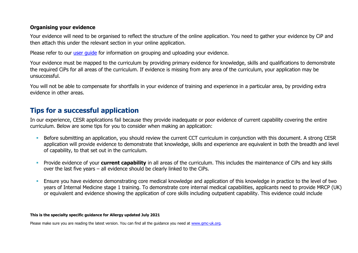### **Organising your evidence**

Your evidence will need to be organised to reflect the structure of the online application. You need to gather your evidence by CiP and then attach this under the relevant section in your online application.

Please refer to our user quide for information on grouping and uploading your evidence.

Your evidence must be mapped to the curriculum by providing primary evidence for knowledge, skills and qualifications to demonstrate the required CiPs for all areas of the curriculum. If evidence is missing from any area of the curriculum, your application may be unsuccessful.

You will not be able to compensate for shortfalls in your evidence of training and experience in a particular area, by providing extra evidence in other areas.

# **Tips for a successful application**

In our experience, CESR applications fail because they provide inadequate or poor evidence of current capability covering the entire curriculum. Below are some tips for you to consider when making an application:

- Before submitting an application, you should review the current CCT curriculum in conjunction with this document. A strong CESR application will provide evidence to demonstrate that knowledge, skills and experience are equivalent in both the breadth and level of capability, to that set out in the curriculum.
- **•** Provide evidence of your **current capability** in all areas of the curriculum. This includes the maintenance of CiPs and key skills over the last five years – all evidence should be clearly linked to the CiPs.
- Ensure you have evidence demonstrating core medical knowledge and application of this knowledge in practice to the level of two years of Internal Medicine stage 1 training. To demonstrate core internal medical capabilities, applicants need to provide MRCP (UK) or equivalent and evidence showing the application of core skills including outpatient capability. This evidence could include

#### **This is the specialty specific guidance for Allergy updated July 2021**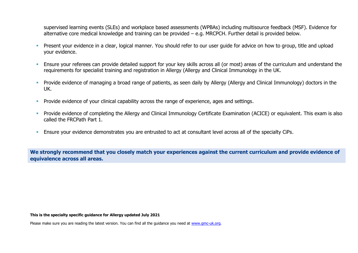supervised learning events (SLEs) and workplace based assessments (WPBAs) including multisource feedback (MSF). Evidence for alternative core medical knowledge and training can be provided – e.g. MRCPCH. Further detail is provided below.

- **•** Present your evidence in a clear, logical manner. You should refer to our user guide for advice on how to group, title and upload your evidence.
- Ensure your referees can provide detailed support for your key skills across all (or most) areas of the curriculum and understand the requirements for specialist training and registration in Allergy (Allergy and Clinical Immunology in the UK.
- **•** Provide evidence of managing a broad range of patients, as seen daily by Allergy (Allergy and Clinical Immunology) doctors in the UK.
- **•** Provide evidence of your clinical capability across the range of experience, ages and settings.
- **•** Provide evidence of completing the Allergy and Clinical Immunology Certificate Examination (ACICE) or equivalent. This exam is also called the FRCPath Part 1.
- **Ensure your evidence demonstrates you are entrusted to act at consultant level across all of the specialty CiPs.**

**We strongly recommend that you closely match your experiences against the current curriculum and provide evidence of equivalence across all areas.** 

#### **This is the specialty specific guidance for Allergy updated July 2021**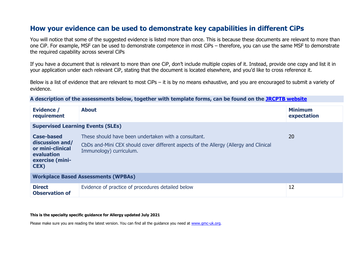# **How your evidence can be used to demonstrate key capabilities in different CiPs**

You will notice that some of the suggested evidence is listed more than once. This is because these documents are relevant to more than one CiP. For example, MSF can be used to demonstrate competence in most CiPs – therefore, you can use the same MSF to demonstrate the required capability across several CiPs

If you have a document that is relevant to more than one CiP, don't include multiple copies of it. Instead, provide one copy and list it in your application under each relevant CiP, stating that the document is located elsewhere, and you'd like to cross reference it.

Below is a list of evidence that are relevant to most CiPs – it is by no means exhaustive, and you are encouraged to submit a variety of evidence.

**A description of the assessments below, together with template forms, can be found on the [JRCPTB website](https://www.jrcptb.org.uk/assessment/workplace-based-assessment)**

| <b>Evidence /</b><br>requirement                                                                          | <b>About</b>                                                                                                                                                             | <b>Minimum</b><br>expectation |
|-----------------------------------------------------------------------------------------------------------|--------------------------------------------------------------------------------------------------------------------------------------------------------------------------|-------------------------------|
| <b>Supervised Learning Events (SLEs)</b>                                                                  |                                                                                                                                                                          |                               |
| <b>Case-based</b><br>discussion and/<br>or mini-clinical<br>evaluation<br>exercise (mini-<br><b>CEX</b> ) | These should have been undertaken with a consultant.<br>CbDs and-Mini CEX should cover different aspects of the Allergy (Allergy and Clinical<br>Immunology) curriculum. | 20                            |
| <b>Workplace Based Assessments (WPBAs)</b>                                                                |                                                                                                                                                                          |                               |
| <b>Direct</b><br><b>Observation of</b>                                                                    | Evidence of practice of procedures detailed below                                                                                                                        | 12                            |

#### **This is the specialty specific guidance for Allergy updated July 2021**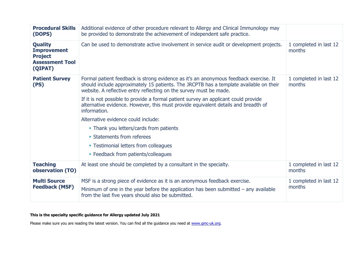| <b>Procedural Skills</b><br>(DOPS)                                                          | Additional evidence of other procedure relevant to Allergy and Clinical Immunology may<br>be provided to demonstrate the achievement of independent safe practice.                                                                                    |                                  |
|---------------------------------------------------------------------------------------------|-------------------------------------------------------------------------------------------------------------------------------------------------------------------------------------------------------------------------------------------------------|----------------------------------|
| <b>Quality</b><br><b>Improvement</b><br><b>Project</b><br><b>Assessment Tool</b><br>(QIPAT) | Can be used to demonstrate active involvement in service audit or development projects.                                                                                                                                                               | 1 completed in last 12<br>months |
| <b>Patient Survey</b><br>(PS)                                                               | Formal patient feedback is strong evidence as it's an anonymous feedback exercise. It<br>should include approximately 15 patients. The JRCPTB has a template available on their<br>website. A reflective entry reflecting on the survey must be made. | 1 completed in last 12<br>months |
|                                                                                             | If it is not possible to provide a formal patient survey an applicant could provide<br>alternative evidence. However, this must provide equivalent details and breadth of<br>information.                                                             |                                  |
|                                                                                             | Alternative evidence could include:                                                                                                                                                                                                                   |                                  |
|                                                                                             | • Thank you letters/cards from patients                                                                                                                                                                                                               |                                  |
|                                                                                             | • Statements from referees                                                                                                                                                                                                                            |                                  |
|                                                                                             | • Testimonial letters from colleagues                                                                                                                                                                                                                 |                                  |
|                                                                                             | • Feedback from patients/colleagues                                                                                                                                                                                                                   |                                  |
| <b>Teaching</b><br>observation (TO)                                                         | At least one should be completed by a consultant in the specialty.                                                                                                                                                                                    | 1 completed in last 12<br>months |
| <b>Multi Source</b><br><b>Feedback (MSF)</b>                                                | MSF is a strong piece of evidence as it is an anonymous feedback exercise.<br>Minimum of one in the year before the application has been submitted $-$ any available<br>from the last five years should also be submitted.                            | 1 completed in last 12<br>months |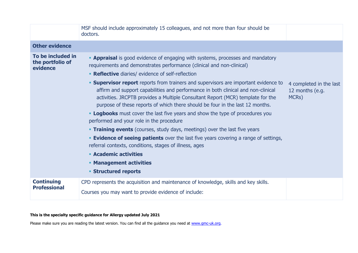|                                                   | MSF should include approximately 15 colleagues, and not more than four should be<br>doctors.                                                                                                                                                                                                                                                                                                                                                                                                                                                                                                                                                                                                                                                                                                                                                                                                                                                                                                                                                        |                                                     |
|---------------------------------------------------|-----------------------------------------------------------------------------------------------------------------------------------------------------------------------------------------------------------------------------------------------------------------------------------------------------------------------------------------------------------------------------------------------------------------------------------------------------------------------------------------------------------------------------------------------------------------------------------------------------------------------------------------------------------------------------------------------------------------------------------------------------------------------------------------------------------------------------------------------------------------------------------------------------------------------------------------------------------------------------------------------------------------------------------------------------|-----------------------------------------------------|
| <b>Other evidence</b>                             |                                                                                                                                                                                                                                                                                                                                                                                                                                                                                                                                                                                                                                                                                                                                                                                                                                                                                                                                                                                                                                                     |                                                     |
| To be included in<br>the portfolio of<br>evidence | <b>- Appraisal</b> is good evidence of engaging with systems, processes and mandatory<br>requirements and demonstrates performance (clinical and non-clinical)<br>• Reflective diaries/ evidence of self-reflection<br><b>Supervisor report</b> reports from trainers and supervisors are important evidence to<br>affirm and support capabilities and performance in both clinical and non-clinical<br>activities. JRCPTB provides a Multiple Consultant Report (MCR) template for the<br>purpose of these reports of which there should be four in the last 12 months.<br><b>- Logbooks</b> must cover the last five years and show the type of procedures you<br>performed and your role in the procedure<br><b>Training events</b> (courses, study days, meetings) over the last five years<br><b>Evidence of seeing patients</b> over the last five years covering a range of settings,<br>referral contexts, conditions, stages of illness, ages<br><b>Academic activities</b><br><b>• Management activities</b><br><b>Structured reports</b> | 4 completed in the last<br>12 months (e.g.<br>MCRs) |
| <b>Continuing</b><br><b>Professional</b>          | CPD represents the acquisition and maintenance of knowledge, skills and key skills.<br>Courses you may want to provide evidence of include:                                                                                                                                                                                                                                                                                                                                                                                                                                                                                                                                                                                                                                                                                                                                                                                                                                                                                                         |                                                     |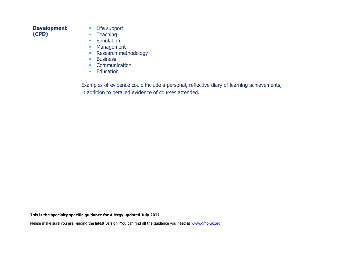| <b>Development</b><br>(CPD) | Life support<br><b>Teaching</b><br>Simulation<br>Management<br>Research methodology<br><b>Business</b><br>Communication<br>Education               |
|-----------------------------|----------------------------------------------------------------------------------------------------------------------------------------------------|
|                             | Examples of evidence could include a personal, reflective diary of learning achievements,<br>in addition to detailed evidence of courses attended. |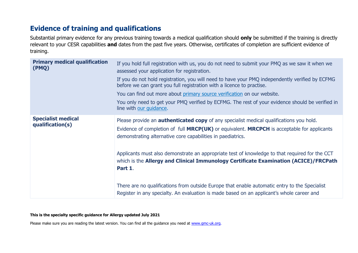# **Evidence of training and qualifications**

Substantial primary evidence for any previous training towards a medical qualification should **only** be submitted if the training is directly relevant to your CESR capabilities **and** dates from the past five years. Otherwise, certificates of completion are sufficient evidence of training.

| <b>Primary medical qualification</b><br>(PMQ) | If you hold full registration with us, you do not need to submit your PMQ as we saw it when we<br>assessed your application for registration.<br>If you do not hold registration, you will need to have your PMQ independently verified by ECFMG<br>before we can grant you full registration with a licence to practise.<br>You can find out more about primary source verification on our website.<br>You only need to get your PMQ verified by ECFMG. The rest of your evidence should be verified in<br>line with our quidance.                               |
|-----------------------------------------------|-------------------------------------------------------------------------------------------------------------------------------------------------------------------------------------------------------------------------------------------------------------------------------------------------------------------------------------------------------------------------------------------------------------------------------------------------------------------------------------------------------------------------------------------------------------------|
| <b>Specialist medical</b><br>qualification(s) | Please provide an <b>authenticated copy</b> of any specialist medical qualifications you hold.<br>Evidence of completion of full MRCP(UK) or equivalent. MRCPCH is acceptable for applicants<br>demonstrating alternative core capabilities in paediatrics.<br>Applicants must also demonstrate an appropriate test of knowledge to that required for the CCT<br>which is the Allergy and Clinical Immunology Certificate Examination (ACICE)/FRCPath<br>Part 1.<br>There are no qualifications from outside Europe that enable automatic entry to the Specialist |
|                                               | Register in any specialty. An evaluation is made based on an applicant's whole career and                                                                                                                                                                                                                                                                                                                                                                                                                                                                         |

#### **This is the specialty specific guidance for Allergy updated July 2021**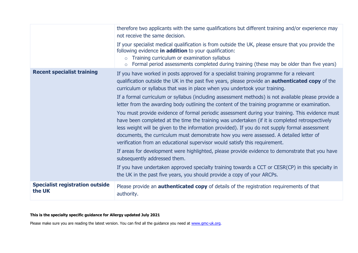|                                                  | therefore two applicants with the same qualifications but different training and/or experience may<br>not receive the same decision.                                                                                                                                                                                                                                                                                                                                           |
|--------------------------------------------------|--------------------------------------------------------------------------------------------------------------------------------------------------------------------------------------------------------------------------------------------------------------------------------------------------------------------------------------------------------------------------------------------------------------------------------------------------------------------------------|
|                                                  | If your specialist medical qualification is from outside the UK, please ensure that you provide the<br>following evidence in addition to your qualification:<br>Training curriculum or examination syllabus<br>$\circ$<br>Formal period assessments completed during training (these may be older than five years)<br>$\circ$                                                                                                                                                  |
| <b>Recent specialist training</b>                | If you have worked in posts approved for a specialist training programme for a relevant<br>qualification outside the UK in the past five years, please provide an <b>authenticated copy</b> of the<br>curriculum or syllabus that was in place when you undertook your training.                                                                                                                                                                                               |
|                                                  | If a formal curriculum or syllabus (including assessment methods) is not available please provide a<br>letter from the awarding body outlining the content of the training programme or examination.                                                                                                                                                                                                                                                                           |
|                                                  | You must provide evidence of formal periodic assessment during your training. This evidence must<br>have been completed at the time the training was undertaken (if it is completed retrospectively<br>less weight will be given to the information provided). If you do not supply formal assessment<br>documents, the curriculum must demonstrate how you were assessed. A detailed letter of<br>verification from an educational supervisor would satisfy this requirement. |
|                                                  | If areas for development were highlighted, please provide evidence to demonstrate that you have<br>subsequently addressed them.                                                                                                                                                                                                                                                                                                                                                |
|                                                  | If you have undertaken approved specialty training towards a CCT or CESR(CP) in this specialty in<br>the UK in the past five years, you should provide a copy of your ARCPs.                                                                                                                                                                                                                                                                                                   |
| <b>Specialist registration outside</b><br>the UK | Please provide an <b>authenticated copy</b> of details of the registration requirements of that<br>authority.                                                                                                                                                                                                                                                                                                                                                                  |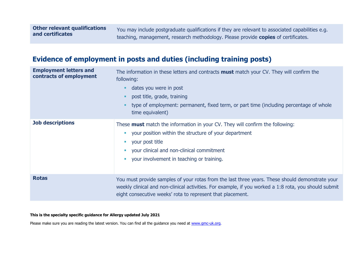You may include postgraduate qualifications if they are relevant to associated capabilities e.g. teaching, management, research methodology. Please provide **copies** of certificates.

# **Evidence of employment in posts and duties (including training posts)**

| <b>Employment letters and</b><br>contracts of employment | The information in these letters and contracts <b>must</b> match your CV. They will confirm the<br>following:<br>dates you were in post<br>post title, grade, training<br>type of employment: permanent, fixed term, or part time (including percentage of whole<br>time equivalent) |
|----------------------------------------------------------|--------------------------------------------------------------------------------------------------------------------------------------------------------------------------------------------------------------------------------------------------------------------------------------|
| <b>Job descriptions</b>                                  | These <b>must</b> match the information in your CV. They will confirm the following:<br>your position within the structure of your department<br>your post title<br>your clinical and non-clinical commitment<br>your involvement in teaching or training.                           |
| <b>Rotas</b>                                             | You must provide samples of your rotas from the last three years. These should demonstrate your<br>weekly clinical and non-clinical activities. For example, if you worked a 1:8 rota, you should submit<br>eight consecutive weeks' rota to represent that placement.               |

#### **This is the specialty specific guidance for Allergy updated July 2021**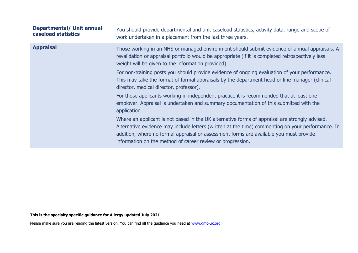| <b>Departmental/ Unit annual</b><br>caseload statistics | You should provide departmental and unit caseload statistics, activity data, range and scope of<br>work undertaken in a placement from the last three years.                                                                                                                                                                                                |
|---------------------------------------------------------|-------------------------------------------------------------------------------------------------------------------------------------------------------------------------------------------------------------------------------------------------------------------------------------------------------------------------------------------------------------|
| <b>Appraisal</b>                                        | Those working in an NHS or managed environment should submit evidence of annual appraisals. A<br>revalidation or appraisal portfolio would be appropriate (if it is completed retrospectively less<br>weight will be given to the information provided).                                                                                                    |
|                                                         | For non-training posts you should provide evidence of ongoing evaluation of your performance.<br>This may take the format of formal appraisals by the department head or line manager (clinical<br>director, medical director, professor).                                                                                                                  |
|                                                         | For those applicants working in independent practice it is recommended that at least one<br>employer. Appraisal is undertaken and summary documentation of this submitted with the<br>application.                                                                                                                                                          |
|                                                         | Where an applicant is not based in the UK alternative forms of appraisal are strongly advised.<br>Alternative evidence may include letters (written at the time) commenting on your performance. In<br>addition, where no formal appraisal or assessment forms are available you must provide<br>information on the method of career review or progression. |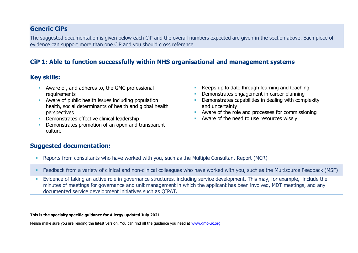### **Generic CiPs**

The suggested documentation is given below each CiP and the overall numbers expected are given in the section above. Each piece of evidence can support more than one CiP and you should cross reference

### **CiP 1: Able to function successfully within NHS organisational and management systems**

### **Key skills:**

- Aware of, and adheres to, the GMC professional requirements
- Aware of public health issues including population health, social determinants of health and global health perspectives
- **•** Demonstrates effective clinical leadership
- Demonstrates promotion of an open and transparent culture
- Keeps up to date through learning and teaching
- **Demonstrates engagement in career planning**
- **•** Demonstrates capabilities in dealing with complexity and uncertainty
- Aware of the role and processes for commissioning
- Aware of the need to use resources wisely

### **Suggested documentation:**

- Reports from consultants who have worked with you, such as the Multiple Consultant Report (MCR)
- Feedback from a variety of clinical and non-clinical colleagues who have worked with you, such as the Multisource Feedback (MSF)
- Evidence of taking an active role in governance structures, including service development. This may, for example, include the minutes of meetings for governance and unit management in which the applicant has been involved, MDT meetings, and any documented service development initiatives such as QIPAT.

#### **This is the specialty specific guidance for Allergy updated July 2021**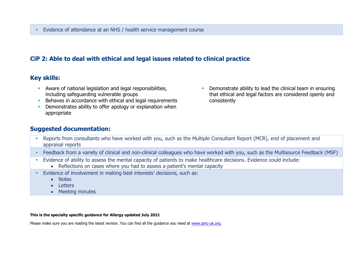### **CiP 2: Able to deal with ethical and legal issues related to clinical practice**

### **Key skills:**

- **EXECT** Aware of national legislation and legal responsibilities, including safeguarding vulnerable groups
- Behaves in accordance with ethical and legal requirements
- **•** Demonstrates ability to offer apology or explanation when appropriate
- **•** Demonstrate ability to lead the clinical team in ensuring that ethical and legal factors are considered openly and consistently

### **Suggested documentation:**

- Reports from consultants who have worked with you, such as the Multiple Consultant Report (MCR), end of placement and appraisal reports
- Feedback from a variety of clinical and non-clinical colleagues who have worked with you, such as the Multisource Feedback (MSF)
- Evidence of ability to assess the mental capacity of patients to make healthcare decisions. Evidence could include:
	- Reflections on cases where you had to assess a patient's mental capacity
- Evidence of involvement in making best interests' decisions, such as:
	- Notes
	- Letters
	- Meeting minutes

#### **This is the specialty specific guidance for Allergy updated July 2021**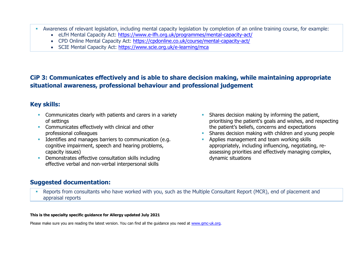- Awareness of relevant legislation, including mental capacity legislation by completion of an online training course, for example:
	- eLfH Mental Capacity Act:<https://www.e-lfh.org.uk/programmes/mental-capacity-act/>
	- CPD Online Mental Capacity Act:<https://cpdonline.co.uk/course/mental-capacity-act/>
	- SCIE Mental Capacity Act:<https://www.scie.org.uk/e-learning/mca>

## **CiP 3: Communicates effectively and is able to share decision making, while maintaining appropriate situational awareness, professional behaviour and professional judgement**

### **Key skills:**

- **EXECOMMUNICATELY COMMUNICATES** clearly with patients and carers in a variety of settings
- **EXECOMMUNICATES Effectively with clinical and other** professional colleagues
- **EXECUTE:** Identifies and manages barriers to communication (e.g. cognitive impairment, speech and hearing problems, capacity issues)
- Demonstrates effective consultation skills including effective verbal and non-verbal interpersonal skills
- **EXECT** Shares decision making by informing the patient, prioritising the patient's goals and wishes, and respecting the patient's beliefs, concerns and expectations
- Shares decision making with children and young people
- Applies management and team working skills appropriately, including influencing, negotiating, reassessing priorities and effectively managing complex, dynamic situations

### **Suggested documentation:**

**EXECTS FREPORTS from consultants who have worked with you, such as the Multiple Consultant Report (MCR), end of placement and** appraisal reports

#### **This is the specialty specific guidance for Allergy updated July 2021**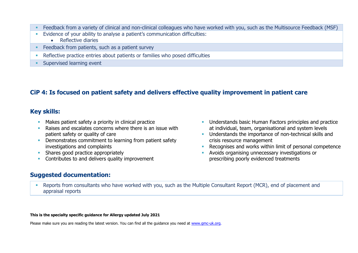- Feedback from a variety of clinical and non-clinical colleagues who have worked with you, such as the Multisource Feedback (MSF)
- **Evidence of your ability to analyse a patient's communication difficulties:** 
	- Reflective diaries
- Feedback from patients, such as a patient survey
- **•** Reflective practice entries about patients or families who posed difficulties
- **Exercised learning event**

## **CiP 4: Is focused on patient safety and delivers effective quality improvement in patient care**

### **Key skills:**

- Makes patient safety a priority in clinical practice
- Raises and escalates concerns where there is an issue with patient safety or quality of care
- **Demonstrates commitment to learning from patient safety** investigations and complaints
- **E** Shares good practice appropriately
- **Contributes to and delivers quality improvement**

### **Suggested documentation:**

- **■** Understands basic Human Factors principles and practice at individual, team, organisational and system levels
- **■** Understands the importance of non-technical skills and crisis resource management
- Recognises and works within limit of personal competence
- Avoids organising unnecessary investigations or prescribing poorly evidenced treatments
- **Reports from consultants who have worked with you, such as the Multiple Consultant Report (MCR), end of placement and** appraisal reports

#### **This is the specialty specific guidance for Allergy updated July 2021**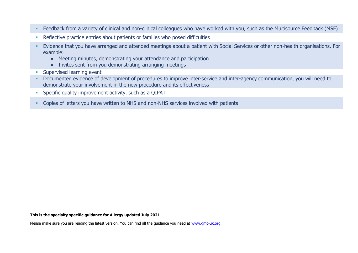- **EXECT ADDE FEEDBACK from a variety of clinical and non-clinical colleagues who have worked with you, such as the Multisource Feedback (MSF)**
- **EXECTE ENDIFIERT PREFIELD EXECTE PROT** Reflective practice entries about patients or families who posed difficulties
- Evidence that you have arranged and attended meetings about a patient with Social Services or other non-health organisations. For example:
	- Meeting minutes, demonstrating your attendance and participation
	- Invites sent from you demonstrating arranging meetings
- **Exercised learning event**
- Documented evidence of development of procedures to improve inter-service and inter-agency communication, you will need to demonstrate your involvement in the new procedure and its effectiveness
- **EXECTE:** Specific quality improvement activity, such as a QIPAT
- **EX Copies of letters you have written to NHS and non-NHS services involved with patients**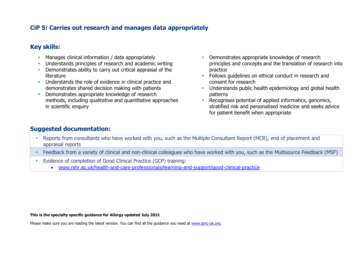### **CiP 5: Carries out research and manages data appropriately**

### **Key skills:**

- **EXECT** Manages clinical information / data appropriately
- **Understands principles of research and academic writing**
- **•** Demonstrates ability to carry out critical appraisal of the literature
- **EXECUTE:** Understands the role of evidence in clinical practice and demonstrates shared decision making with patients
- Demonstrates appropriate knowledge of research methods, including qualitative and quantitative approaches in scientific enquiry
- Demonstrates appropriate knowledge of research principles and concepts and the translation of research into practice
- Follows guidelines on ethical conduct in research and consent for research
- **•** Understands public health epidemiology and global health patterns
- **EXECOGNISES potential of applied informatics, genomics,** stratified risk and personalised medicine and seeks advice for patient benefit when appropriate

### **Suggested documentation:**

- Reports from consultants who have worked with you, such as the Multiple Consultant Report (MCR), end of placement and appraisal reports
- Feedback from a variety of clinical and non-clinical colleagues who have worked with you, such as the Multisource Feedback (MSF)
- **Evidence of completion of Good Clinical Practice (GCP) training:** 
	- [www.nihr.ac.uk/health-and-care-professionals/learning-and-support/good-clinical-practice](https://www.nihr.ac.uk/health-and-care-professionals/learning-and-support/good-clinical-practice.htm)

#### **This is the specialty specific guidance for Allergy updated July 2021**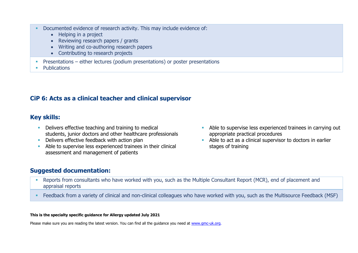- Documented evidence of research activity. This may include evidence of:
	- Helping in a project
	- Reviewing research papers / grants
	- Writing and co-authoring research papers
	- Contributing to research projects
- **•** Presentations either lectures (podium presentations) or poster presentations
- Publications

### **CiP 6: Acts as a clinical teacher and clinical supervisor**

### **Key skills:**

- Delivers effective teaching and training to medical students, junior doctors and other healthcare professionals
- **EXECT** Delivers effective feedback with action plan
- **EXECUTE:** Able to supervise less experienced trainees in their clinical assessment and management of patients
- Able to supervise less experienced trainees in carrying out appropriate practical procedures
- Able to act as a clinical supervisor to doctors in earlier stages of training

### **Suggested documentation:**

- **EXECTS FREPORTS from consultants who have worked with you, such as the Multiple Consultant Report (MCR), end of placement and** appraisal reports
- **EXECT ADDE FEEDBACK from a variety of clinical and non-clinical colleagues who have worked with you, such as the Multisource Feedback (MSF)**

#### **This is the specialty specific guidance for Allergy updated July 2021**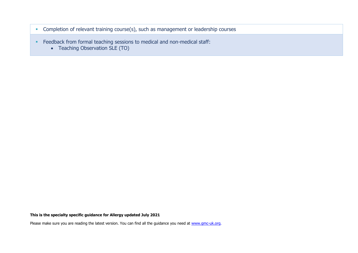- **EXECOM** Completion of relevant training course(s), such as management or leadership courses
- **•** Feedback from formal teaching sessions to medical and non-medical staff:
	- Teaching Observation SLE (TO)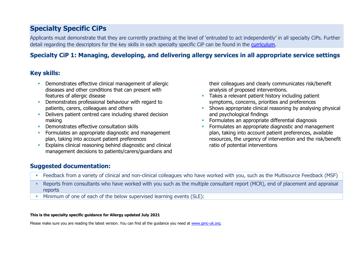# **Specialty Specific CiPs**

Applicants must demonstrate that they are currently practising at the level of 'entrusted to act independently' in all specialty CiPs. Further detail regarding the descriptors for the key skills in each specialty specific CiP can be found in the [curriculum.](https://www.gmc-uk.org/education/standards-guidance-and-curricula/curricula#T)

## **Specialty CiP 1: Managing, developing, and delivering allergy services in all appropriate service settings**

## **Key skills:**

- **Demonstrates effective clinical management of allergic** diseases and other conditions that can present with features of allergic disease
- **•** Demonstrates professional behaviour with regard to patients, carers, colleagues and others
- Delivers patient centred care including shared decision making
- **Demonstrates effective consultation skills**
- **•** Formulates an appropriate diagnostic and management plan, taking into account patient preferences
- **Explains clinical reasoning behind diagnostic and clinical** management decisions to patients/carers/guardians and

their colleagues and clearly communicates risk/benefit analysis of proposed interventions.

- **EXECTE Takes a relevant patient history including patient** symptoms, concerns, priorities and preferences
- **EXECT** Shows appropriate clinical reasoning by analysing physical and psychological findings
- **EXECUTE:** Formulates an appropriate differential diagnosis
- Formulates an appropriate diagnostic and management plan, taking into account patient preferences, available resources, the urgency of intervention and the risk/benefit ratio of potential interventions

### **Suggested documentation:**

- Feedback from a variety of clinical and non-clinical colleagues who have worked with you, such as the Multisource Feedback (MSF)
- Reports from consultants who have worked with you such as the multiple consultant report (MCR), end of placement and appraisal reports
- Minimum of one of each of the below supervised learning events (SLE):

#### **This is the specialty specific guidance for Allergy updated July 2021**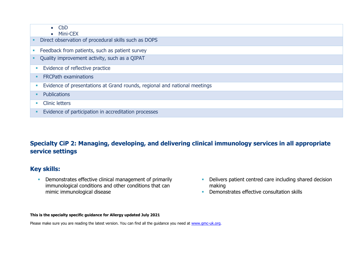| $\bullet$ CbD<br>$\bullet$ Mini-CEX                                            |
|--------------------------------------------------------------------------------|
| Direct observation of procedural skills such as DOPS                           |
| Feedback from patients, such as patient survey                                 |
| Quality improvement activity, such as a QIPAT                                  |
| Evidence of reflective practice<br><b>I</b>                                    |
| <b>FRCPath examinations</b>                                                    |
| Evidence of presentations at Grand rounds, regional and national meetings<br>п |
| <b>Publications</b>                                                            |
| <b>Clinic letters</b><br>п                                                     |
| Evidence of participation in accreditation processes                           |

# **Specialty CiP 2: Managing, developing, and delivering clinical immunology services in all appropriate service settings**

### **Key skills:**

**• Demonstrates effective clinical management of primarily** immunological conditions and other conditions that can mimic immunological disease

- **•** Delivers patient centred care including shared decision making
- **•** Demonstrates effective consultation skills

### **This is the specialty specific guidance for Allergy updated July 2021**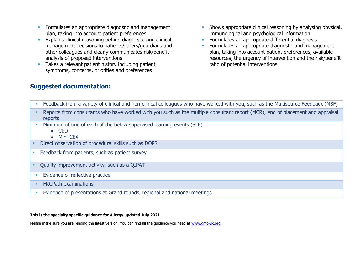- **EXECUTE:** Formulates an appropriate diagnostic and management plan, taking into account patient preferences
- **Explains clinical reasoning behind diagnostic and clinical** management decisions to patients/carers/guardians and other colleagues and clearly communicates risk/benefit analysis of proposed interventions.
- **EXT** Takes a relevant patient history including patient symptoms, concerns, priorities and preferences
- **EXECT** Shows appropriate clinical reasoning by analysing physical, immunological and psychological information
- **EXECTE:** Formulates an appropriate differential diagnosis
- **•** Formulates an appropriate diagnostic and management plan, taking into account patient preferences, available resources, the urgency of intervention and the risk/benefit ratio of potential interventions

### **Suggested documentation:**

- Feedback from a variety of clinical and non-clinical colleagues who have worked with you, such as the Multisource Feedback (MSF)
- Reports from consultants who have worked with you such as the multiple consultant report (MCR), end of placement and appraisal reports
- Minimum of one of each of the below supervised learning events (SLE):
	- CbD
	- Mini-CEX
- Direct observation of procedural skills such as DOPS
- **Example 2** Feedback from patients, such as patient survey
- Quality improvement activity, such as a QIPAT
- **Evidence of reflective practice**
- **ERCPath examinations**
- **Evidence of presentations at Grand rounds, regional and national meetings**

#### **This is the specialty specific guidance for Allergy updated July 2021**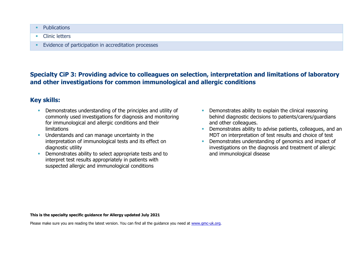- Publications
- Clinic letters
- **Evidence of participation in accreditation processes**

### **Specialty CiP 3: Providing advice to colleagues on selection, interpretation and limitations of laboratory and other investigations for common immunological and allergic conditions**

### **Key skills:**

- **Demonstrates understanding of the principles and utility of** commonly used investigations for diagnosis and monitoring for immunological and allergic conditions and their limitations
- **•** Understands and can manage uncertainty in the interpretation of immunological tests and its effect on diagnostic utility
- **•** Demonstrates ability to select appropriate tests and to interpret test results appropriately in patients with suspected allergic and immunological conditions
- **Demonstrates ability to explain the clinical reasoning** behind diagnostic decisions to patients/carers/guardians and other colleagues.
- Demonstrates ability to advise patients, colleagues, and an MDT on interpretation of test results and choice of test
- **•** Demonstrates understanding of genomics and impact of investigations on the diagnosis and treatment of allergic and immunological disease

#### **This is the specialty specific guidance for Allergy updated July 2021**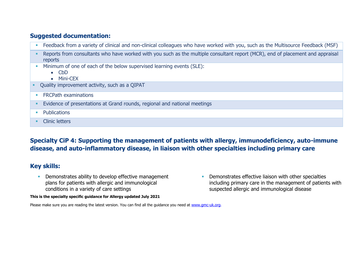### **Suggested documentation:**

- **EXECT** Feedback from a variety of clinical and non-clinical colleagues who have worked with you, such as the Multisource Feedback (MSF)
- Reports from consultants who have worked with you such as the multiple consultant report (MCR), end of placement and appraisal reports
- **EXECUTE:** Minimum of one of each of the below supervised learning events (SLE):
	- CbD
	- Mini-CEX
- Quality improvement activity, such as a QIPAT
- **ERCPath examinations**
- **Evidence of presentations at Grand rounds, regional and national meetings**
- Publications
- Clinic letters

# **Specialty CiP 4: Supporting the management of patients with allergy, immunodeficiency, auto-immune disease, and auto-inflammatory disease, in liaison with other specialties including primary care**

### **Key skills:**

**•** Demonstrates ability to develop effective management plans for patients with allergic and immunological conditions in a variety of care settings

**This is the specialty specific guidance for Allergy updated July 2021**

**•** Demonstrates effective liaison with other specialties including primary care in the management of patients with suspected allergic and immunological disease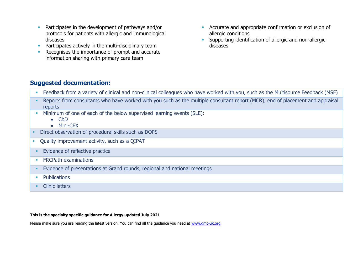- **Participates in the development of pathways and/or** protocols for patients with allergic and immunological diseases
- **•** Participates actively in the multi-disciplinary team
- Recognises the importance of prompt and accurate information sharing with primary care team
- **EXECUTE ACCURATE:** Accurate and appropriate confirmation or exclusion of allergic conditions
- **E** Supporting identification of allergic and non-allergic diseases

### **Suggested documentation:**

- **EXECT** Feedback from a variety of clinical and non-clinical colleagues who have worked with you, such as the Multisource Feedback (MSF)
- Reports from consultants who have worked with you such as the multiple consultant report (MCR), end of placement and appraisal reports
- **EXECUTE:** Minimum of one of each of the below supervised learning events (SLE):
	- CbD
	- Mini-CEX
- Direct observation of procedural skills such as DOPS
- Quality improvement activity, such as a QIPAT
- **Evidence of reflective practice**
- **•** FRCPath examinations
- **Evidence of presentations at Grand rounds, regional and national meetings**
- Publications
- Clinic letters

#### **This is the specialty specific guidance for Allergy updated July 2021**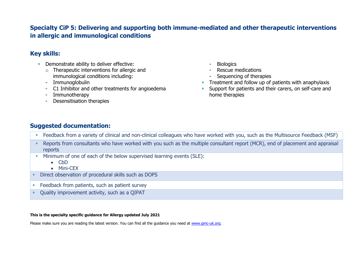### **Specialty CiP 5: Delivering and supporting both immune-mediated and other therapeutic interventions in allergic and immunological conditions**

### **Key skills:**

- **•** Demonstrate ability to deliver effective:
	- $\circ$  Therapeutic interventions for allergic and immunological conditions including:
	- Immunoglobulin
	- C1 Inhibitor and other treatments for angioedema
	- Immunotherapy
	- Desensitisation therapies
- **Biologics**
- Rescue medications
- Sequencing of therapies
- **•** Treatment and follow up of patients with anaphylaxis
- **EXECT** Support for patients and their carers, on self-care and home therapies

## **Suggested documentation:**

- Feedback from a variety of clinical and non-clinical colleagues who have worked with you, such as the Multisource Feedback (MSF)
- Reports from consultants who have worked with you such as the multiple consultant report (MCR), end of placement and appraisal reports
- **EXECUTE:** Minimum of one of each of the below supervised learning events (SLE):
	- CbD
	- Mini-CEX
- Direct observation of procedural skills such as DOPS
- **EXECO FEEDBACK from patients, such as patient survey**
- Ouality improvement activity, such as a OIPAT

### **This is the specialty specific guidance for Allergy updated July 2021**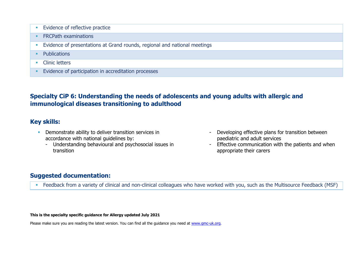- **Evidence of reflective practice**
- **ERCPath examinations**
- **Evidence of presentations at Grand rounds, regional and national meetings**
- Publications
- Clinic letters
- **Evidence of participation in accreditation processes**

## **Specialty CiP 6: Understanding the needs of adolescents and young adults with allergic and immunological diseases transitioning to adulthood**

### **Key skills:**

- **•** Demonstrate ability to deliver transition services in accordance with national guidelines by:
	- Understanding behavioural and psychosocial issues in transition
- Developing effective plans for transition between paediatric and adult services
- Effective communication with the patients and when appropriate their carers

### **Suggested documentation:**

**EXECT** Feedback from a variety of clinical and non-clinical colleagues who have worked with you, such as the Multisource Feedback (MSF)

**This is the specialty specific guidance for Allergy updated July 2021**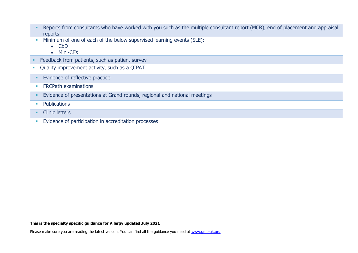| Reports from consultants who have worked with you such as the multiple consultant report (MCR), end of placement and appraisal |
|--------------------------------------------------------------------------------------------------------------------------------|
| reports                                                                                                                        |

- **Minimum of one of each of the below supervised learning events (SLE):** 
	- CbD
	- Mini-CEX
- Feedback from patients, such as patient survey
- Quality improvement activity, such as a QIPAT
- **Evidence of reflective practice**
- **•** FRCPath examinations
- **Evidence of presentations at Grand rounds, regional and national meetings**
- Publications
- Clinic letters
- **Evidence of participation in accreditation processes**